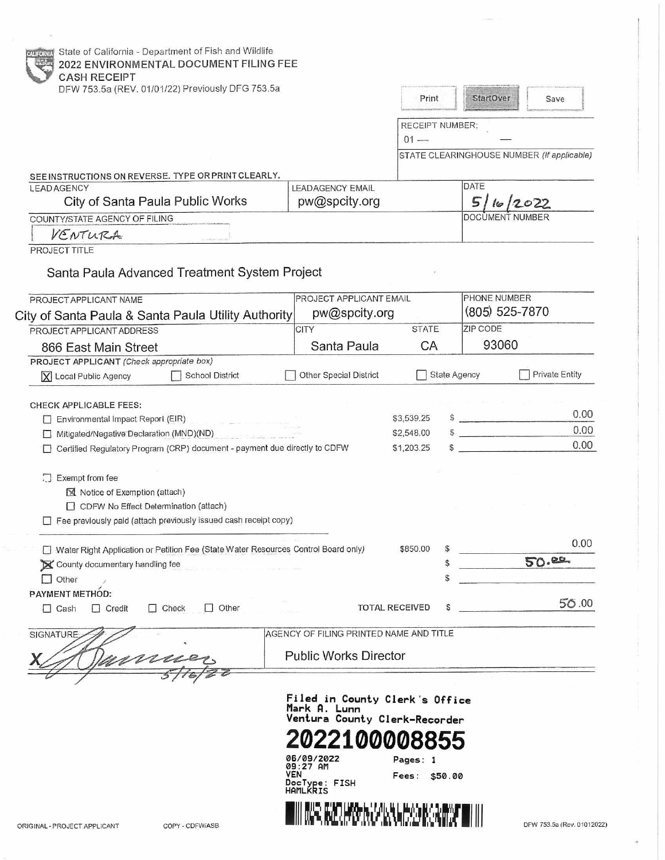| State of California - Department of Fish and Wildlife<br>2022 ENVIRONMENTAL DOCUMENT FILING FEE<br><b>CASH RECEIPT</b>                                                                                                                                                                                                                                                                                                                                             |                                                                                                                                                                   |                                                         |                                                        |
|--------------------------------------------------------------------------------------------------------------------------------------------------------------------------------------------------------------------------------------------------------------------------------------------------------------------------------------------------------------------------------------------------------------------------------------------------------------------|-------------------------------------------------------------------------------------------------------------------------------------------------------------------|---------------------------------------------------------|--------------------------------------------------------|
| DFW 753.5a (REV. 01/01/22) Previously DFG 753.5a                                                                                                                                                                                                                                                                                                                                                                                                                   |                                                                                                                                                                   | Print                                                   | StartOver<br>Save                                      |
|                                                                                                                                                                                                                                                                                                                                                                                                                                                                    |                                                                                                                                                                   | <b>RECEIPT NUMBER:</b><br>$01 -$                        |                                                        |
|                                                                                                                                                                                                                                                                                                                                                                                                                                                                    |                                                                                                                                                                   |                                                         | STATE CLEARINGHOUSE NUMBER (If applicable)             |
| SEE INSTRUCTIONS ON REVERSE. TYPE OR PRINT CLEARLY.                                                                                                                                                                                                                                                                                                                                                                                                                |                                                                                                                                                                   |                                                         | <b>DATE</b>                                            |
| <b>LEAD AGENCY</b><br>City of Santa Paula Public Works                                                                                                                                                                                                                                                                                                                                                                                                             | <b>LEADAGENCY EMAIL</b><br>pw@spcity.org                                                                                                                          |                                                         | 5<br>16/2022                                           |
| COUNTY/STATE AGENCY OF FILING                                                                                                                                                                                                                                                                                                                                                                                                                                      |                                                                                                                                                                   |                                                         | DOCUMENT NUMBER                                        |
| VENTURA                                                                                                                                                                                                                                                                                                                                                                                                                                                            |                                                                                                                                                                   |                                                         |                                                        |
| PROJECT TITLE<br>Santa Paula Advanced Treatment System Project                                                                                                                                                                                                                                                                                                                                                                                                     |                                                                                                                                                                   |                                                         |                                                        |
| PROJECT APPLICANT NAME                                                                                                                                                                                                                                                                                                                                                                                                                                             | PROJECT APPLICANT EMAIL                                                                                                                                           |                                                         | PHONE NUMBER                                           |
| City of Santa Paula & Santa Paula Utility Authority                                                                                                                                                                                                                                                                                                                                                                                                                | pw@spcity.org                                                                                                                                                     |                                                         | (805) 525-7870<br>ZIP CODE                             |
| PROJECT APPLICANT ADDRESS                                                                                                                                                                                                                                                                                                                                                                                                                                          | CITY<br>Santa Paula                                                                                                                                               | <b>STATE</b><br>CA                                      | 93060                                                  |
| 866 East Main Street<br>PROJECT APPLICANT (Check appropriate box)                                                                                                                                                                                                                                                                                                                                                                                                  |                                                                                                                                                                   |                                                         |                                                        |
| School District<br>X Local Public Agency                                                                                                                                                                                                                                                                                                                                                                                                                           | Other Special District                                                                                                                                            | <b>State Agency</b>                                     | <b>Private Entity</b>                                  |
| <b>CHECK APPLICABLE FEES:</b><br>Environmental Impact Report (EIR)<br>Mitigated/Negative Declaration (MND)(ND)<br>Certified Regulatory Program (CRP) document - payment due directly to CDFW<br>Exempt from fee<br>$\mathbb{Z}$<br>Notice of Exemption (attach)<br>CDFW No Effect Determination (attach)<br>Fee previously paid (attach previously issued cash receipt copy)<br>Water Right Application or Petition Fee (State Water Resources Control Board only) |                                                                                                                                                                   | \$3,539.25<br>\$2,548.00<br>\$1,203.25<br>\$850.00<br>S | 0.00<br>S<br>0.00<br>$\ddot{\text{S}}$<br>0.00<br>0.00 |
| County documentary handling fee                                                                                                                                                                                                                                                                                                                                                                                                                                    |                                                                                                                                                                   | S                                                       | 50.02                                                  |
| Other                                                                                                                                                                                                                                                                                                                                                                                                                                                              |                                                                                                                                                                   | $\mathbb{S}$                                            |                                                        |
| <b>PAYMENT METHOD:</b><br>$\Box$ Credit<br>$\Box$ Check<br>Other<br>$\Box$ Cash                                                                                                                                                                                                                                                                                                                                                                                    |                                                                                                                                                                   | \$<br><b>TOTAL RECEIVED</b>                             | 50.00                                                  |
| <b>SIGNATURE</b>                                                                                                                                                                                                                                                                                                                                                                                                                                                   | AGENCY OF FILING PRINTED NAME AND TITLE                                                                                                                           |                                                         |                                                        |
|                                                                                                                                                                                                                                                                                                                                                                                                                                                                    | <b>Public Works Director</b>                                                                                                                                      |                                                         |                                                        |
| COPY - CDFW/ASB<br>ORIGINAL - PROJECT APPLICANT                                                                                                                                                                                                                                                                                                                                                                                                                    | Filed in County Clerk's Office<br>Mark A. Lunn<br>Ventura County Clerk-Recorder<br>06/09/2022<br>09:27 AM<br>VEN<br>DocType: FISH<br>HAMLKRIS<br>ALAMAN ANALIS SA | Pages: 1<br>Fees: \$50.00                               | DFW 753.5a (Rev. 01012022)                             |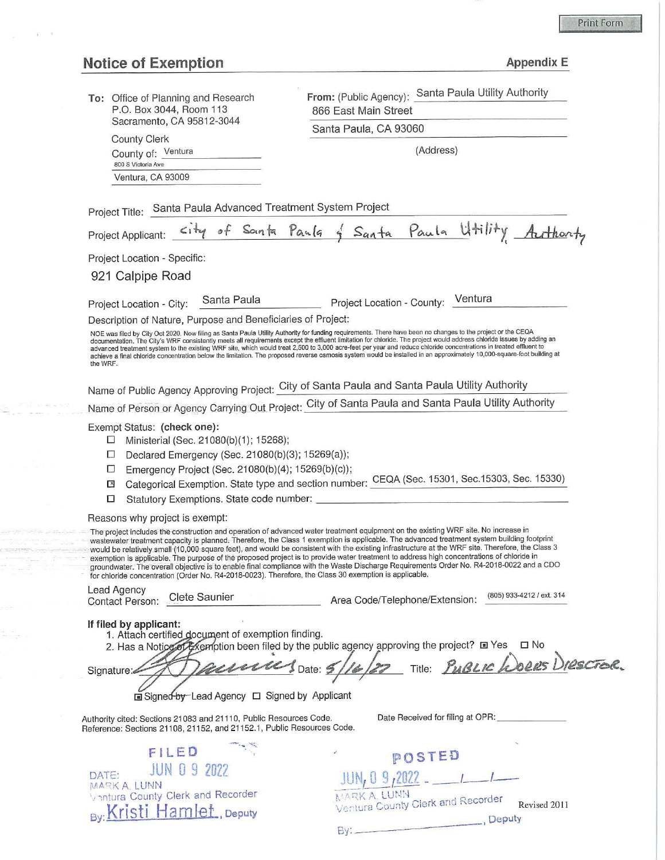## Print Form

|  | Appendix E |  |
|--|------------|--|
|  |            |  |

| <b>Notice of Exemption</b>                                                                                                                                                                     | <b>Appendix E</b>                                                                                                                                                                                                                                                                                                                                                                                                                                                                                                                                                                                                                                                                   |
|------------------------------------------------------------------------------------------------------------------------------------------------------------------------------------------------|-------------------------------------------------------------------------------------------------------------------------------------------------------------------------------------------------------------------------------------------------------------------------------------------------------------------------------------------------------------------------------------------------------------------------------------------------------------------------------------------------------------------------------------------------------------------------------------------------------------------------------------------------------------------------------------|
| To: Office of Planning and Research<br>P.O. Box 3044, Room 113                                                                                                                                 | From: (Public Agency): Santa Paula Utility Authority<br>866 East Main Street                                                                                                                                                                                                                                                                                                                                                                                                                                                                                                                                                                                                        |
| Sacramento, CA 95812-3044                                                                                                                                                                      | Santa Paula, CA 93060                                                                                                                                                                                                                                                                                                                                                                                                                                                                                                                                                                                                                                                               |
| <b>County Clerk</b><br>County of: Ventura<br>800 S Victoria Ave                                                                                                                                | (Address)                                                                                                                                                                                                                                                                                                                                                                                                                                                                                                                                                                                                                                                                           |
| Ventura, CA 93009                                                                                                                                                                              |                                                                                                                                                                                                                                                                                                                                                                                                                                                                                                                                                                                                                                                                                     |
| Project Title: Santa Paula Advanced Treatment System Project                                                                                                                                   | Project Applicant: City of Santa Paula of Santa Paula Utility Authority                                                                                                                                                                                                                                                                                                                                                                                                                                                                                                                                                                                                             |
| Project Location - Specific:                                                                                                                                                                   |                                                                                                                                                                                                                                                                                                                                                                                                                                                                                                                                                                                                                                                                                     |
| 921 Calpipe Road                                                                                                                                                                               |                                                                                                                                                                                                                                                                                                                                                                                                                                                                                                                                                                                                                                                                                     |
|                                                                                                                                                                                                |                                                                                                                                                                                                                                                                                                                                                                                                                                                                                                                                                                                                                                                                                     |
| Santa Paula<br>Project Location - City:                                                                                                                                                        | Project Location - County: Ventura                                                                                                                                                                                                                                                                                                                                                                                                                                                                                                                                                                                                                                                  |
| Description of Nature, Purpose and Beneficiaries of Project:<br>the WRF.                                                                                                                       | NOE was filed by City Oct 2020. Now filing as Santa Paula Utility Authority for funding requirements. There have been no changes to the project or the CEQA<br>documentation. The City's WRF consistently meets all requirements except the effluent limitation for chloride. The project would address chloride issues by adding an<br>advanced treatment system to the existing WRF site, which would treat 2,500 to 3,000 acre-feet per year and reduce chloride concentrations in treated effluent to<br>achieve a final chloride concentration below the limitation. The proposed reverse osmosis system would be installed in an approximately 10,000-square-foot building at |
|                                                                                                                                                                                                | Name of Public Agency Approving Project: City of Santa Paula and Santa Paula Utility Authority                                                                                                                                                                                                                                                                                                                                                                                                                                                                                                                                                                                      |
|                                                                                                                                                                                                | Name of Person or Agency Carrying Out Project: City of Santa Paula and Santa Paula Utility Authority                                                                                                                                                                                                                                                                                                                                                                                                                                                                                                                                                                                |
|                                                                                                                                                                                                |                                                                                                                                                                                                                                                                                                                                                                                                                                                                                                                                                                                                                                                                                     |
| Exempt Status: (check one):<br>Ministerial (Sec. 21080(b)(1); 15268);<br>⊔<br>Declared Emergency (Sec. 21080(b)(3); 15269(a));<br>ш<br>Emergency Project (Sec. 21080(b)(4); 15269(b)(c));<br>□ |                                                                                                                                                                                                                                                                                                                                                                                                                                                                                                                                                                                                                                                                                     |
| ×<br>Statutory Exemptions. State code number:<br>□                                                                                                                                             | Categorical Exemption. State type and section number: CEQA (Sec. 15301, Sec.15303, Sec. 15330)                                                                                                                                                                                                                                                                                                                                                                                                                                                                                                                                                                                      |
| Reasons why project is exempt:                                                                                                                                                                 |                                                                                                                                                                                                                                                                                                                                                                                                                                                                                                                                                                                                                                                                                     |

– The project includes the construction and operation of advanced water treatment equipment on the existing WRF site. No increase in<br>— wastewater treatment capacity is planned. Therefore, the Class 1 exemption is applicab exemption is applicable. The purpose of the proposed project is to provide water treatment to address high concentrations of chloride in<br>groundwater. The overall objective is to enable final compliance with the Waste Disch for chloride concentration (Order No. R4-2018-0023). Therefore, the Class 30 exemption is applicable.

Lead Agency Contact Person: Clete Saunier

Area Code/Telephone/Extension: (805) 933-4212 / ext. 314

## If **filed by applicant:**

| <u>"""""""""""""""""""</u>                                                                |
|-------------------------------------------------------------------------------------------|
| 1. Attach certified document of exemption finding.                                        |
| 2. Has a Notice of Exemption been filed by the public agency approving the project? I Yes |
|                                                                                           |
| Title: PUBLIC WORRS DIRECTER<br>auna Joane: 5/16/22<br>Signature:                         |
|                                                                                           |
|                                                                                           |
| <b>la Signed-by-Lead Agency □ Signed by Applicant</b>                                     |

By:\_

Authority cited: Sections 21083 and 21110, Public Resources Code. Reference: Sections 21108, 21152, and 21152.1 , Public Resources Code. Date Received for filing at OPR:

**MARK A. LUNN**<br>
Ventura County Clerk and Recorder Revised 2011<br> **Deputy**, Deputy

**\?OSTEO**  JUN,~ r. 2022 \_\_ ,\_,\_

|              | FILED                                                          |  |
|--------------|----------------------------------------------------------------|--|
| DATE:        | JUN 0 9 2022                                                   |  |
| MARK A. LUNN |                                                                |  |
|              | Ventura County Clerk and Recorder<br>By: Kristi Hamlet, Deputy |  |
|              |                                                                |  |